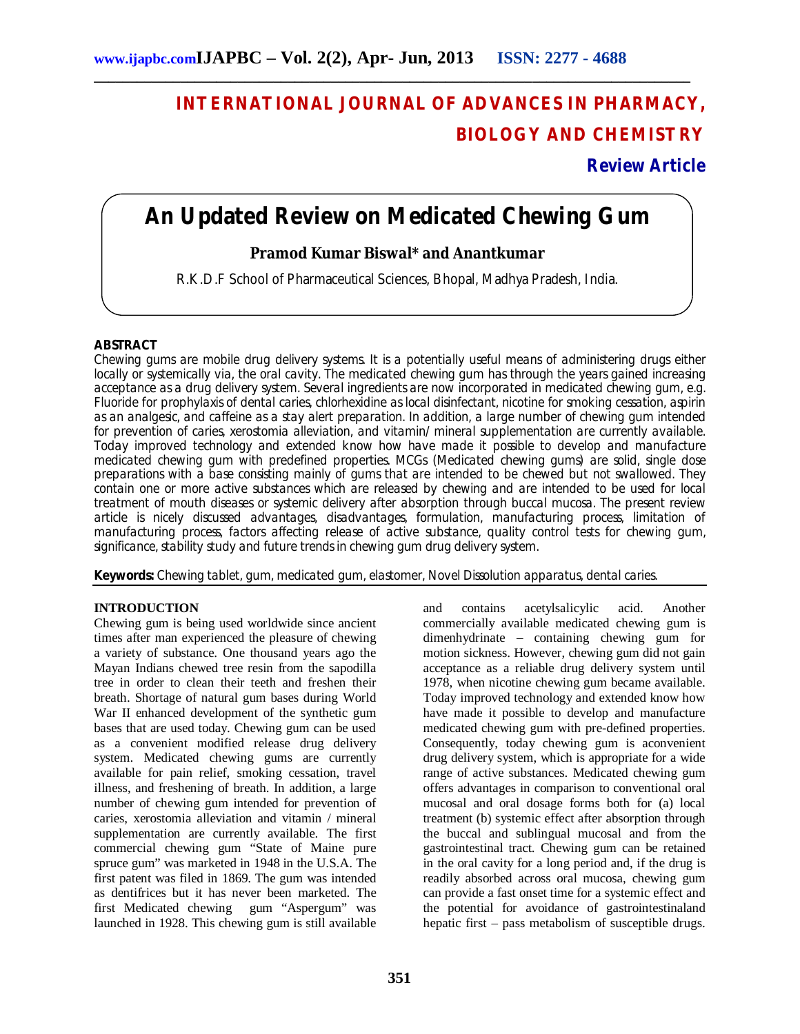# **INTERNATIONAL JOURNAL OF ADVANCES IN PHARMACY, BIOLOGY AND CHEMISTRY**

**Review Article**

## **An Updated Review on Medicated Chewing Gum**

**\_\_\_\_\_\_\_\_\_\_\_\_\_\_\_\_\_\_\_\_\_\_\_\_\_\_\_\_\_\_\_\_\_\_\_\_\_\_\_\_\_\_\_\_\_\_\_\_\_\_\_\_\_\_\_\_\_\_\_\_\_\_\_\_\_\_\_\_\_\_\_\_\_\_\_\_\_\_\_\_\_\_\_**

## **Pramod Kumar Biswal\* and Anantkumar**

R.K.D.F School of Pharmaceutical Sciences, Bhopal, Madhya Pradesh, India.

## **ABSTRACT**

Chewing gums are mobile drug delivery systems. It is a potentially useful means of administering drugs either locally or systemically via, the oral cavity. The medicated chewing gum has through the years gained increasing acceptance as a drug delivery system. Several ingredients are now incorporated in medicated chewing gum, e.g. Fluoride for prophylaxis of dental caries, chlorhexidine as local disinfectant, nicotine for smoking cessation, aspirin as an analgesic, and caffeine as a stay alert preparation. In addition, a large number of chewing gum intended for prevention of caries, xerostomia alleviation, and vitamin/ mineral supplementation are currently available. Today improved technology and extended know how have made it possible to develop and manufacture medicated chewing gum with predefined properties. MCGs (Medicated chewing gums) are solid, single dose preparations with a base consisting mainly of gums that are intended to be chewed but not swallowed. They contain one or more active substances which are released by chewing and are intended to be used for local treatment of mouth diseases or systemic delivery after absorption through buccal mucosa. The present review article is nicely discussed advantages, disadvantages, formulation, manufacturing process, limitation of manufacturing process, factors affecting release of active substance, quality control tests for chewing gum, significance, stability study and future trends in chewing gum drug delivery system.

**Keywords:** Chewing tablet, gum, medicated gum, elastomer, Novel Dissolution apparatus, dental caries.

#### **INTRODUCTION**

Chewing gum is being used worldwide since ancient times after man experienced the pleasure of chewing a variety of substance. One thousand years ago the Mayan Indians chewed tree resin from the sapodilla tree in order to clean their teeth and freshen their breath. Shortage of natural gum bases during World War II enhanced development of the synthetic gum bases that are used today. Chewing gum can be used as a convenient modified release drug delivery system. Medicated chewing gums are currently available for pain relief, smoking cessation, travel illness, and freshening of breath. In addition, a large number of chewing gum intended for prevention of caries, xerostomia alleviation and vitamin / mineral supplementation are currently available. The first commercial chewing gum "State of Maine pure spruce gum" was marketed in 1948 in the U.S.A. The first patent was filed in 1869. The gum was intended as dentifrices but it has never been marketed. The first Medicated chewing gum "Aspergum" was launched in 1928. This chewing gum is still available

and contains acetylsalicylic acid. Another commercially available medicated chewing gum is dimenhydrinate – containing chewing gum for motion sickness. However, chewing gum did not gain acceptance as a reliable drug delivery system until 1978, when nicotine chewing gum became available. Today improved technology and extended know how have made it possible to develop and manufacture medicated chewing gum with pre-defined properties. Consequently, today chewing gum is aconvenient drug delivery system, which is appropriate for a wide range of active substances. Medicated chewing gum offers advantages in comparison to conventional oral mucosal and oral dosage forms both for (a) local treatment (b) systemic effect after absorption through the buccal and sublingual mucosal and from the gastrointestinal tract. Chewing gum can be retained in the oral cavity for a long period and, if the drug is readily absorbed across oral mucosa, chewing gum can provide a fast onset time for a systemic effect and the potential for avoidance of gastrointestinaland hepatic first – pass metabolism of susceptible drugs.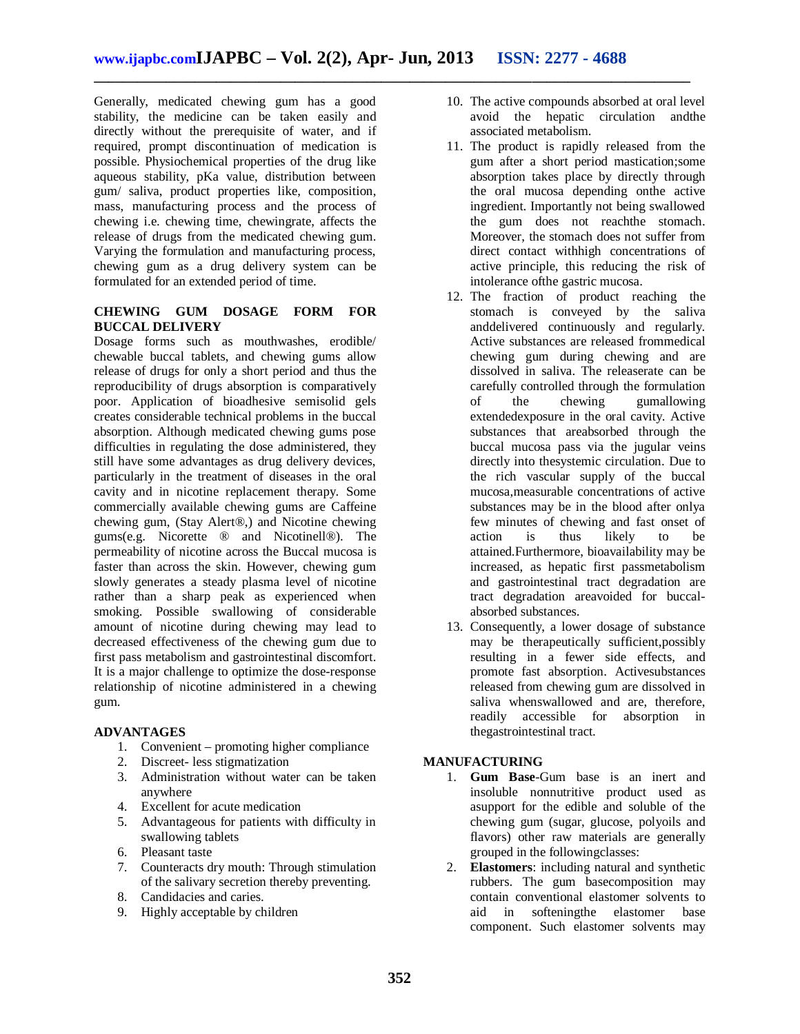Generally, medicated chewing gum has a good stability, the medicine can be taken easily and directly without the prerequisite of water, and if required, prompt discontinuation of medication is possible. Physiochemical properties of the drug like aqueous stability, pKa value, distribution between gum/ saliva, product properties like, composition, mass, manufacturing process and the process of chewing i.e. chewing time, chewingrate, affects the release of drugs from the medicated chewing gum. Varying the formulation and manufacturing process, chewing gum as a drug delivery system can be formulated for an extended period of time.

#### **CHEWING GUM DOSAGE FORM FOR BUCCAL DELIVERY**

Dosage forms such as mouthwashes, erodible/ chewable buccal tablets, and chewing gums allow release of drugs for only a short period and thus the reproducibility of drugs absorption is comparatively poor. Application of bioadhesive semisolid gels creates considerable technical problems in the buccal absorption. Although medicated chewing gums pose difficulties in regulating the dose administered, they still have some advantages as drug delivery devices, particularly in the treatment of diseases in the oral cavity and in nicotine replacement therapy. Some commercially available chewing gums are Caffeine chewing gum, (Stay Alert®,) and Nicotine chewing gums(e.g. Nicorette ® and Nicotinell®). The permeability of nicotine across the Buccal mucosa is faster than across the skin. However, chewing gum slowly generates a steady plasma level of nicotine rather than a sharp peak as experienced when smoking. Possible swallowing of considerable amount of nicotine during chewing may lead to decreased effectiveness of the chewing gum due to first pass metabolism and gastrointestinal discomfort. It is a major challenge to optimize the dose-response relationship of nicotine administered in a chewing gum.

## **ADVANTAGES**

- 1. Convenient promoting higher compliance
- 2. Discreet- less stigmatization
- 3. Administration without water can be taken anywhere
- 4. Excellent for acute medication
- 5. Advantageous for patients with difficulty in swallowing tablets
- 6. Pleasant taste
- 7. Counteracts dry mouth: Through stimulation of the salivary secretion thereby preventing.
- 8. Candidacies and caries.
- 9. Highly acceptable by children
- 10. The active compounds absorbed at oral level avoid the hepatic circulation andthe associated metabolism.
- 11. The product is rapidly released from the gum after a short period mastication;some absorption takes place by directly through the oral mucosa depending onthe active ingredient. Importantly not being swallowed the gum does not reachthe stomach. Moreover, the stomach does not suffer from direct contact withhigh concentrations of active principle, this reducing the risk of intolerance ofthe gastric mucosa.
- 12. The fraction of product reaching the stomach is conveyed by the saliva anddelivered continuously and regularly. Active substances are released frommedical chewing gum during chewing and are dissolved in saliva. The releaserate can be carefully controlled through the formulation<br>of the chewing gumallowing of the chewing gumallowing extendedexposure in the oral cavity. Active substances that areabsorbed through the buccal mucosa pass via the jugular veins directly into thesystemic circulation. Due to the rich vascular supply of the buccal mucosa,measurable concentrations of active substances may be in the blood after onlya few minutes of chewing and fast onset of action is thus likely to be attained.Furthermore, bioavailability may be increased, as hepatic first passmetabolism and gastrointestinal tract degradation are tract degradation areavoided for buccalabsorbed substances.
- 13. Consequently, a lower dosage of substance may be therapeutically sufficient,possibly resulting in a fewer side effects, and promote fast absorption. Activesubstances released from chewing gum are dissolved in saliva whenswallowed and are, therefore, readily accessible for absorption in thegastrointestinal tract.

## **MANUFACTURING**

- 1. **Gum Base**-Gum base is an inert and insoluble nonnutritive product used as asupport for the edible and soluble of the chewing gum (sugar, glucose, polyoils and flavors) other raw materials are generally grouped in the followingclasses:
- 2. **Elastomers**: including natural and synthetic rubbers. The gum basecomposition may contain conventional elastomer solvents to aid in softeningthe elastomer base component. Such elastomer solvents may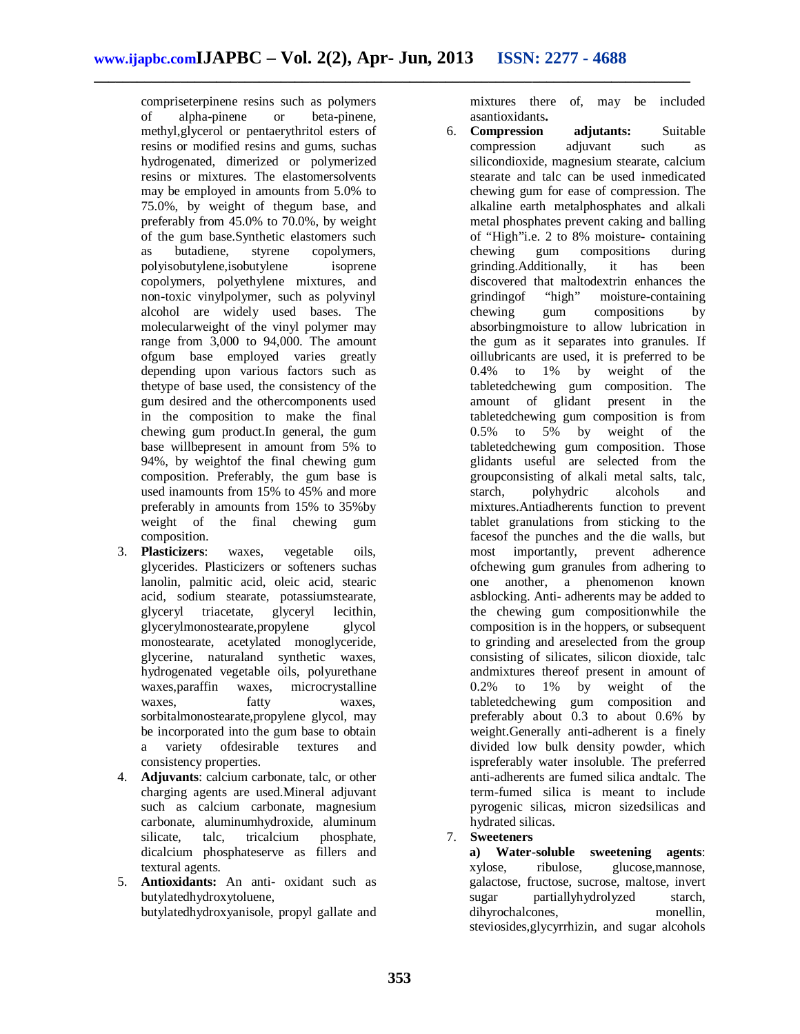compriseterpinene resins such as polymers of alpha-pinene or beta-pinene, methyl,glycerol or pentaerythritol esters of resins or modified resins and gums, suchas hydrogenated, dimerized or polymerized resins or mixtures. The elastomersolvents may be employed in amounts from 5.0% to 75.0%, by weight of thegum base, and preferably from 45.0% to 70.0%, by weight of the gum base.Synthetic elastomers such as butadiene, styrene copolymers, polyisobutylene,isobutylene isoprene copolymers, polyethylene mixtures, and non-toxic vinylpolymer, such as polyvinyl alcohol are widely used bases. The molecularweight of the vinyl polymer may range from 3,000 to 94,000. The amount ofgum base employed varies greatly depending upon various factors such as thetype of base used, the consistency of the gum desired and the othercomponents used in the composition to make the final chewing gum product.In general, the gum base willbepresent in amount from 5% to 94%, by weightof the final chewing gum composition. Preferably, the gum base is used inamounts from 15% to 45% and more preferably in amounts from 15% to 35%by weight of the final chewing gum composition.

- 3. **Plasticizers**: waxes, vegetable oils, glycerides. Plasticizers or softeners suchas lanolin, palmitic acid, oleic acid, stearic acid, sodium stearate, potassiumstearate, glyceryl triacetate, glyceryl lecithin, glycerylmonostearate,propylene glycol monostearate, acetylated monoglyceride, glycerine, naturaland synthetic waxes, hydrogenated vegetable oils, polyurethane waxes,paraffin waxes, microcrystalline waxes, fatty waxes, sorbitalmonostearate,propylene glycol, may be incorporated into the gum base to obtain a variety ofdesirable textures and consistency properties.
- 4. **Adjuvants**: calcium carbonate, talc, or other charging agents are used.Mineral adjuvant such as calcium carbonate, magnesium carbonate, aluminumhydroxide, aluminum silicate, talc, tricalcium phosphate, dicalcium phosphateserve as fillers and textural agents.
- 5. **Antioxidants:** An anti- oxidant such as butylatedhydroxytoluene, butylatedhydroxyanisole, propyl gallate and

mixtures there of, may be included asantioxidants**.**

- 6. **Compression adjutants:** Suitable compression adjuvant such as silicondioxide, magnesium stearate, calcium stearate and talc can be used inmedicated chewing gum for ease of compression. The alkaline earth metalphosphates and alkali metal phosphates prevent caking and balling of "High"i.e. 2 to 8% moisture- containing chewing gum compositions during grinding.Additionally, it has been discovered that maltodextrin enhances the grinding of "high" moisture-containing grindingof "high" moisture-containing chewing gum compositions by absorbingmoisture to allow lubrication in the gum as it separates into granules. If oillubricants are used, it is preferred to be 0.4% to 1% by weight of the tabletedchewing gum composition. The<br>amount of glidant present in the amount of glidant present in the tabletedchewing gum composition is from 0.5% to 5% by weight of the tabletedchewing gum composition. Those glidants useful are selected from the groupconsisting of alkali metal salts, talc, starch, polyhydric alcohols and mixtures.Antiadherents function to prevent tablet granulations from sticking to the facesof the punches and the die walls, but most importantly, prevent adherence ofchewing gum granules from adhering to one another, a phenomenon known asblocking. Anti- adherents may be added to the chewing gum compositionwhile the composition is in the hoppers, or subsequent to grinding and areselected from the group consisting of silicates, silicon dioxide, talc andmixtures thereof present in amount of 0.2% to 1% by weight of the tabletedchewing gum composition and preferably about 0.3 to about 0.6% by weight.Generally anti-adherent is a finely divided low bulk density powder, which ispreferably water insoluble. The preferred anti-adherents are fumed silica andtalc. The term-fumed silica is meant to include pyrogenic silicas, micron sizedsilicas and hydrated silicas.
- 7. **Sweeteners**

**a) Water-soluble sweetening agents**: xylose, ribulose, glucose,mannose, galactose, fructose, sucrose, maltose, invert sugar partiallyhydrolyzed starch, dihyrochalcones, monellin, steviosides,glycyrrhizin, and sugar alcohols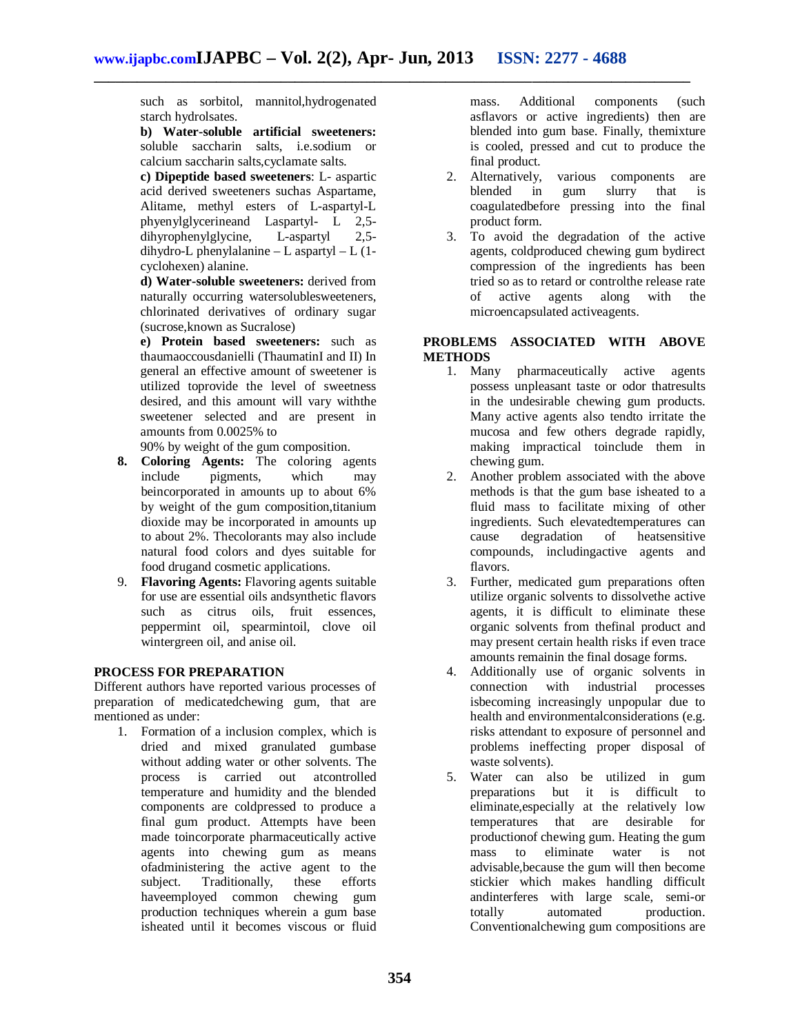such as sorbitol, mannitol,hydrogenated starch hydrolsates.

**b) Water-soluble artificial sweeteners:**  soluble saccharin salts, i.e.sodium or calcium saccharin salts,cyclamate salts.

**c) Dipeptide based sweeteners**: L- aspartic acid derived sweeteners suchas Aspartame, Alitame, methyl esters of L-aspartyl-L phyenylglycerineand Laspartyl- L 2,5-<br>dihyrophenylglycine, L-aspartyl 2,5dihyrophenylglycine, L-aspartyl 2,5 dihydro-L phenylalanine – L aspartyl – L (1 cyclohexen) alanine.

**d) Water-soluble sweeteners:** derived from naturally occurring watersolublesweeteners, chlorinated derivatives of ordinary sugar (sucrose,known as Sucralose)

**e) Protein based sweeteners:** such as thaumaoccousdanielli (ThaumatinI and II) In general an effective amount of sweetener is utilized toprovide the level of sweetness desired, and this amount will vary withthe sweetener selected and are present in amounts from 0.0025% to

90% by weight of the gum composition.

- **8. Coloring Agents:** The coloring agents pigments, which may beincorporated in amounts up to about 6% by weight of the gum composition,titanium dioxide may be incorporated in amounts up to about 2%. Thecolorants may also include natural food colors and dyes suitable for food drugand cosmetic applications.
- 9. **Flavoring Agents:** Flavoring agents suitable for use are essential oils andsynthetic flavors such as citrus oils, fruit essences, peppermint oil, spearmintoil, clove oil wintergreen oil, and anise oil.

#### **PROCESS FOR PREPARATION**

Different authors have reported various processes of preparation of medicatedchewing gum, that are mentioned as under:

1. Formation of a inclusion complex, which is dried and mixed granulated gumbase without adding water or other solvents. The process is carried out atcontrolled temperature and humidity and the blended components are coldpressed to produce a final gum product. Attempts have been made toincorporate pharmaceutically active agents into chewing gum as means ofadministering the active agent to the subject. Traditionally, these efforts Traditionally, these efforts haveemployed common chewing gum production techniques wherein a gum base isheated until it becomes viscous or fluid

mass. Additional components (such asflavors or active ingredients) then are blended into gum base. Finally, themixture is cooled, pressed and cut to produce the final product.

- 2. Alternatively, various components are blended in gum slurry that is coagulatedbefore pressing into the final product form.
- 3. To avoid the degradation of the active agents, coldproduced chewing gum bydirect compression of the ingredients has been tried so as to retard or controlthe release rate of active agents along with the microencapsulated activeagents.

#### **PROBLEMS ASSOCIATED WITH ABOVE METHODS**

- 1. Many pharmaceutically active agents possess unpleasant taste or odor thatresults in the undesirable chewing gum products. Many active agents also tendto irritate the mucosa and few others degrade rapidly, making impractical toinclude them in chewing gum.
- 2. Another problem associated with the above methods is that the gum base isheated to a fluid mass to facilitate mixing of other ingredients. Such elevatedtemperatures can cause degradation of heatsensitive compounds, includingactive agents and flavors.
- 3. Further, medicated gum preparations often utilize organic solvents to dissolvethe active agents, it is difficult to eliminate these organic solvents from thefinal product and may present certain health risks if even trace amounts remainin the final dosage forms.
- 4. Additionally use of organic solvents in connection with industrial processes isbecoming increasingly unpopular due to health and environmentalconsiderations (e.g. risks attendant to exposure of personnel and problems ineffecting proper disposal of waste solvents).
- 5. Water can also be utilized in gum preparations but it is difficult to eliminate,especially at the relatively low temperatures that are desirable for productionof chewing gum. Heating the gum mass to eliminate water is not advisable,because the gum will then become stickier which makes handling difficult andinterferes with large scale, semi-or totally automated production. Conventionalchewing gum compositions are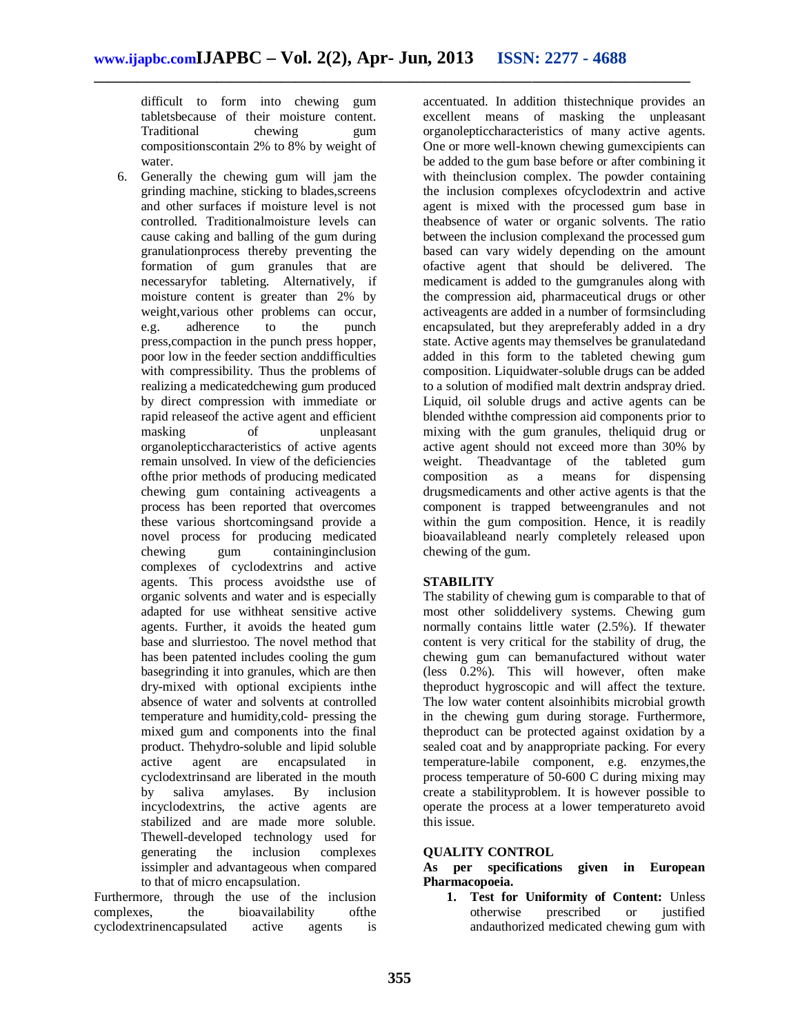difficult to form into chewing gum tabletsbecause of their moisture content. Traditional chewing gum compositionscontain 2% to 8% by weight of water.

6. Generally the chewing gum will jam the grinding machine, sticking to blades,screens and other surfaces if moisture level is not controlled. Traditionalmoisture levels can cause caking and balling of the gum during granulationprocess thereby preventing the formation of gum granules that are necessaryfor tableting. Alternatively, if moisture content is greater than 2% by weight,various other problems can occur, e.g. adherence to the punch press,compaction in the punch press hopper, poor low in the feeder section anddifficulties with compressibility. Thus the problems of realizing a medicatedchewing gum produced by direct compression with immediate or rapid releaseof the active agent and efficient masking of unpleasant organolepticcharacteristics of active agents remain unsolved. In view of the deficiencies ofthe prior methods of producing medicated chewing gum containing activeagents a process has been reported that overcomes these various shortcomingsand provide a novel process for producing medicated chewing gum containinginclusion complexes of cyclodextrins and active agents. This process avoidsthe use of organic solvents and water and is especially adapted for use withheat sensitive active agents. Further, it avoids the heated gum base and slurriestoo. The novel method that has been patented includes cooling the gum basegrinding it into granules, which are then dry-mixed with optional excipients inthe absence of water and solvents at controlled temperature and humidity,cold- pressing the mixed gum and components into the final product. Thehydro-soluble and lipid soluble active agent are encapsulated in cyclodextrinsand are liberated in the mouth by saliva amylases. By inclusion incyclodextrins, the active agents are stabilized and are made more soluble. Thewell-developed technology used for generating the inclusion complexes issimpler and advantageous when compared to that of micro encapsulation.

Furthermore, through the use of the inclusion complexes, the bioavailability ofthe cyclodextrinencapsulated active agents is

accentuated. In addition thistechnique provides an excellent means of masking the unpleasant organolepticcharacteristics of many active agents. One or more well-known chewing gumexcipients can be added to the gum base before or after combining it with theinclusion complex. The powder containing the inclusion complexes ofcyclodextrin and active agent is mixed with the processed gum base in theabsence of water or organic solvents. The ratio between the inclusion complexand the processed gum based can vary widely depending on the amount ofactive agent that should be delivered. The medicament is added to the gumgranules along with the compression aid, pharmaceutical drugs or other activeagents are added in a number of formsincluding encapsulated, but they arepreferably added in a dry state. Active agents may themselves be granulatedand added in this form to the tableted chewing gum composition. Liquidwater-soluble drugs can be added to a solution of modified malt dextrin andspray dried. Liquid, oil soluble drugs and active agents can be blended withthe compression aid components prior to mixing with the gum granules, theliquid drug or active agent should not exceed more than 30% by weight. Theadvantage of the tableted gum<br>composition as a means for dispensing composition as a means for dispensing drugsmedicaments and other active agents is that the component is trapped betweengranules and not within the gum composition. Hence, it is readily bioavailableand nearly completely released upon chewing of the gum.

## **STABILITY**

The stability of chewing gum is comparable to that of most other soliddelivery systems. Chewing gum normally contains little water (2.5%). If thewater content is very critical for the stability of drug, the chewing gum can bemanufactured without water (less 0.2%). This will however, often make theproduct hygroscopic and will affect the texture. The low water content alsoinhibits microbial growth in the chewing gum during storage. Furthermore, theproduct can be protected against oxidation by a sealed coat and by anappropriate packing. For every temperature-labile component, e.g. enzymes,the process temperature of 50-600 C during mixing may create a stabilityproblem. It is however possible to operate the process at a lower temperatureto avoid this issue.

#### **QUALITY CONTROL**

**As per specifications given in European Pharmacopoeia.**

**1. Test for Uniformity of Content:** Unless otherwise prescribed or justified andauthorized medicated chewing gum with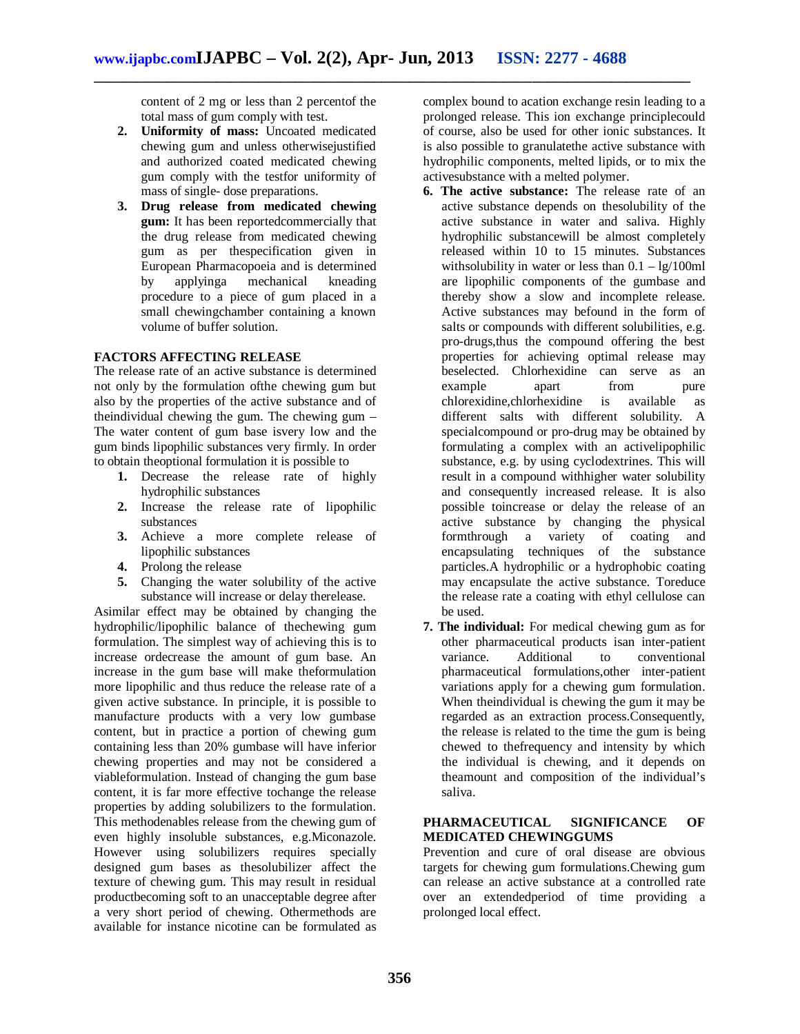content of 2 mg or less than 2 percentof the total mass of gum comply with test.

- **2. Uniformity of mass:** Uncoated medicated chewing gum and unless otherwisejustified and authorized coated medicated chewing gum comply with the testfor uniformity of mass of single- dose preparations.
- **3. Drug release from medicated chewing gum:** It has been reportedcommercially that the drug release from medicated chewing gum as per thespecification given in European Pharmacopoeia and is determined by applyinga mechanical kneading procedure to a piece of gum placed in a small chewingchamber containing a known volume of buffer solution.

## **FACTORS AFFECTING RELEASE**

The release rate of an active substance is determined not only by the formulation ofthe chewing gum but also by the properties of the active substance and of theindividual chewing the gum. The chewing gum – The water content of gum base isvery low and the gum binds lipophilic substances very firmly. In order to obtain theoptional formulation it is possible to

- **1.** Decrease the release rate of highly hydrophilic substances
- **2.** Increase the release rate of lipophilic substances
- **3.** Achieve a more complete release of lipophilic substances
- **4.** Prolong the release
- **5.** Changing the water solubility of the active substance will increase or delay therelease.

Asimilar effect may be obtained by changing the hydrophilic/lipophilic balance of thechewing gum formulation. The simplest way of achieving this is to increase ordecrease the amount of gum base. An increase in the gum base will make theformulation more lipophilic and thus reduce the release rate of a given active substance. In principle, it is possible to manufacture products with a very low gumbase content, but in practice a portion of chewing gum containing less than 20% gumbase will have inferior chewing properties and may not be considered a viableformulation. Instead of changing the gum base content, it is far more effective tochange the release properties by adding solubilizers to the formulation. This methodenables release from the chewing gum of even highly insoluble substances, e.g.Miconazole. However using solubilizers requires specially designed gum bases as thesolubilizer affect the texture of chewing gum. This may result in residual productbecoming soft to an unacceptable degree after a very short period of chewing. Othermethods are available for instance nicotine can be formulated as

complex bound to acation exchange resin leading to a prolonged release. This ion exchange principlecould of course, also be used for other ionic substances. It is also possible to granulatethe active substance with hydrophilic components, melted lipids, or to mix the activesubstance with a melted polymer.

- **6. The active substance:** The release rate of an active substance depends on thesolubility of the active substance in water and saliva. Highly hydrophilic substancewill be almost completely released within 10 to 15 minutes. Substances withsolubility in water or less than  $0.1 - \lg/100$ ml are lipophilic components of the gumbase and thereby show a slow and incomplete release. Active substances may befound in the form of salts or compounds with different solubilities, e.g. pro-drugs,thus the compound offering the best properties for achieving optimal release may beselected. Chlorhexidine can serve as an example apart from pure<br>chlorexidine.chlorhexidine is available as chlorexidine,chlorhexidine is available as different salts with different solubility. A specialcompound or pro-drug may be obtained by formulating a complex with an activelipophilic substance, e.g. by using cyclodextrines. This will result in a compound withhigher water solubility and consequently increased release. It is also possible toincrease or delay the release of an active substance by changing the physical formthrough a variety of coating and encapsulating techniques of the substance particles.A hydrophilic or a hydrophobic coating may encapsulate the active substance. Toreduce the release rate a coating with ethyl cellulose can be used.
- **7. The individual:** For medical chewing gum as for other pharmaceutical products isan inter-patient variance. Additional to conventional pharmaceutical formulations,other inter-patient variations apply for a chewing gum formulation. When theindividual is chewing the gum it may be regarded as an extraction process.Consequently, the release is related to the time the gum is being chewed to thefrequency and intensity by which the individual is chewing, and it depends on theamount and composition of the individual's saliva.

#### **PHARMACEUTICAL SIGNIFICANCE OF MEDICATED CHEWINGGUMS**

Prevention and cure of oral disease are obvious targets for chewing gum formulations.Chewing gum can release an active substance at a controlled rate over an extendedperiod of time providing a prolonged local effect.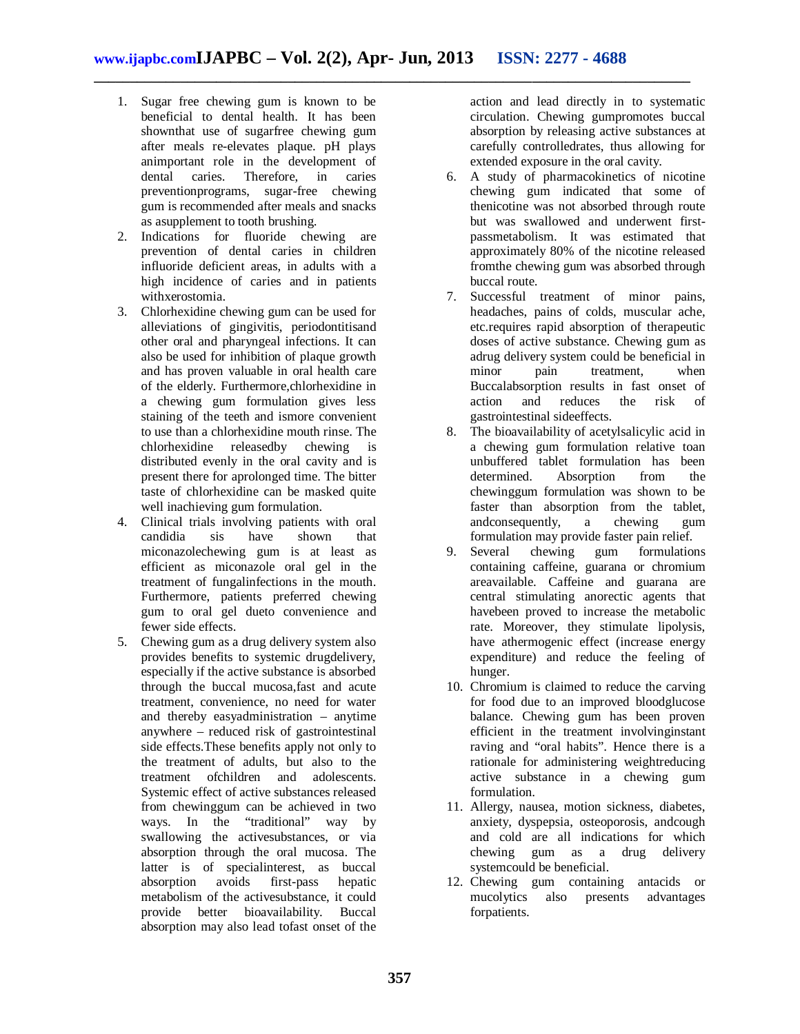- 1. Sugar free chewing gum is known to be beneficial to dental health. It has been shownthat use of sugarfree chewing gum after meals re-elevates plaque. pH plays animportant role in the development of dental caries. Therefore, in caries preventionprograms, sugar-free chewing gum is recommended after meals and snacks as asupplement to tooth brushing.
- 2. Indications for fluoride chewing are prevention of dental caries in children influoride deficient areas, in adults with a high incidence of caries and in patients withxerostomia.
- 3. Chlorhexidine chewing gum can be used for alleviations of gingivitis, periodontitisand other oral and pharyngeal infections. It can also be used for inhibition of plaque growth and has proven valuable in oral health care of the elderly. Furthermore,chlorhexidine in a chewing gum formulation gives less staining of the teeth and ismore convenient to use than a chlorhexidine mouth rinse. The chlorhexidine releasedby chewing is distributed evenly in the oral cavity and is present there for aprolonged time. The bitter taste of chlorhexidine can be masked quite well inachieving gum formulation.
- 4. Clinical trials involving patients with oral candidia sis have shown that miconazolechewing gum is at least as efficient as miconazole oral gel in the treatment of fungalinfections in the mouth. Furthermore, patients preferred chewing gum to oral gel dueto convenience and fewer side effects.
- 5. Chewing gum as a drug delivery system also provides benefits to systemic drugdelivery, especially if the active substance is absorbed through the buccal mucosa,fast and acute treatment, convenience, no need for water and thereby easyadministration – anytime anywhere – reduced risk of gastrointestinal side effects.These benefits apply not only to the treatment of adults, but also to the treatment ofchildren and adolescents. Systemic effect of active substances released from chewinggum can be achieved in two ways. In the "traditional" way by swallowing the activesubstances, or via absorption through the oral mucosa. The latter is of special<br>interest, as buccal absorption avoids first-pass hepatic absorption avoids first-pass hepatic metabolism of the activesubstance, it could provide better bioavailability. Buccal absorption may also lead tofast onset of the

action and lead directly in to systematic circulation. Chewing gumpromotes buccal absorption by releasing active substances at carefully controlledrates, thus allowing for extended exposure in the oral cavity.

- 6. A study of pharmacokinetics of nicotine chewing gum indicated that some of thenicotine was not absorbed through route but was swallowed and underwent firstpassmetabolism. It was estimated that approximately 80% of the nicotine released fromthe chewing gum was absorbed through buccal route.
- 7. Successful treatment of minor pains, headaches, pains of colds, muscular ache, etc.requires rapid absorption of therapeutic doses of active substance. Chewing gum as adrug delivery system could be beneficial in minor pain treatment, when Buccalabsorption results in fast onset of<br>action and reduces the risk of reduces gastrointestinal sideeffects.
- 8. The bioavailability of acetylsalicylic acid in a chewing gum formulation relative toan unbuffered tablet formulation has been<br>determined. Absorption from the determined. Absorption from the chewinggum formulation was shown to be faster than absorption from the tablet, andconsequently, a chewing gum formulation may provide faster pain relief.<br>Several chewing gum formulation
- 9. Several chewing gum formulations containing caffeine, guarana or chromium areavailable. Caffeine and guarana are central stimulating anorectic agents that havebeen proved to increase the metabolic rate. Moreover, they stimulate lipolysis, have athermogenic effect (increase energy expenditure) and reduce the feeling of hunger.
- 10. Chromium is claimed to reduce the carving for food due to an improved bloodglucose balance. Chewing gum has been proven efficient in the treatment involvinginstant raving and "oral habits". Hence there is a rationale for administering weightreducing active substance in a chewing gum formulation.
- 11. Allergy, nausea, motion sickness, diabetes, anxiety, dyspepsia, osteoporosis, andcough and cold are all indications for which chewing gum as a drug delivery systemcould be beneficial.
- 12. Chewing gum containing antacids or mucolytics also presents advantages also presents advantages forpatients.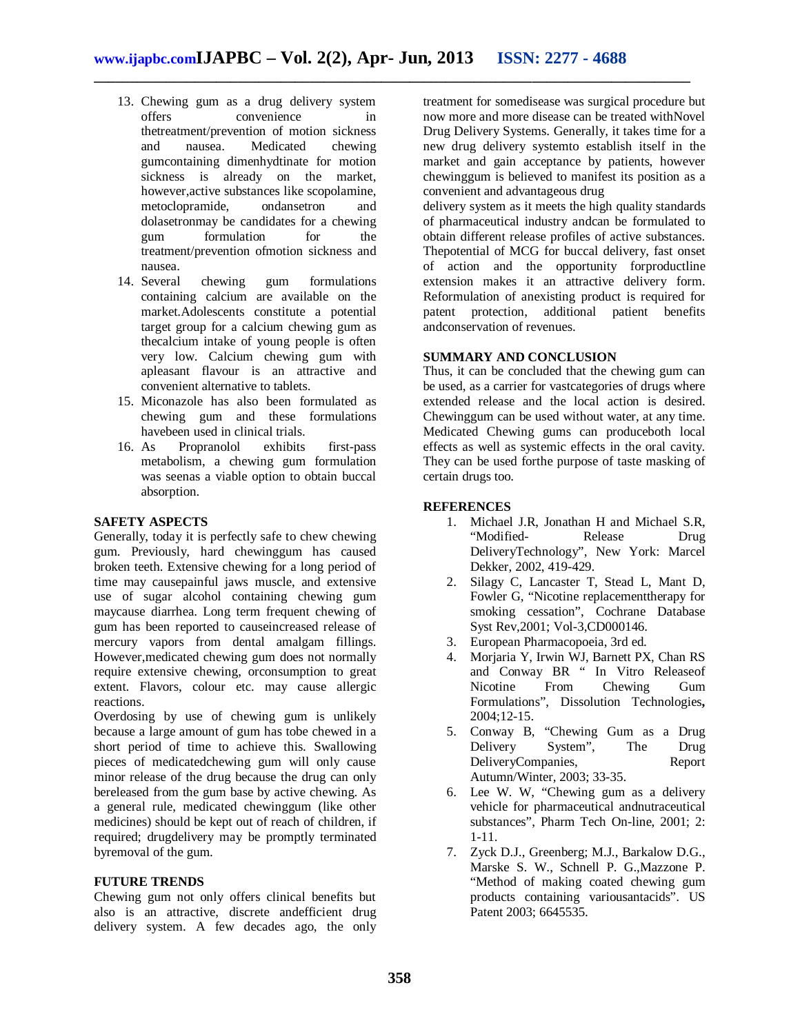- 13. Chewing gum as a drug delivery system offers convenience in thetreatment/prevention of motion sickness and nausea. Medicated chewing gumcontaining dimenhydtinate for motion sickness is already on the market, however,active substances like scopolamine, metoclopramide, ondansetron and dolasetronmay be candidates for a chewing gum formulation for the treatment/prevention ofmotion sickness and nausea.
- 14. Several chewing gum formulations containing calcium are available on the market.Adolescents constitute a potential target group for a calcium chewing gum as thecalcium intake of young people is often very low. Calcium chewing gum with apleasant flavour is an attractive and convenient alternative to tablets.
- 15. Miconazole has also been formulated as chewing gum and these formulations have been used in clinical trials.<br>16. As Propranolol exhibits
- Propranolol exhibits first-pass metabolism, a chewing gum formulation was seenas a viable option to obtain buccal absorption.

#### **SAFETY ASPECTS**

Generally, today it is perfectly safe to chew chewing gum. Previously, hard chewinggum has caused broken teeth. Extensive chewing for a long period of time may causepainful jaws muscle, and extensive use of sugar alcohol containing chewing gum maycause diarrhea. Long term frequent chewing of gum has been reported to causeincreased release of mercury vapors from dental amalgam fillings. However,medicated chewing gum does not normally require extensive chewing, orconsumption to great extent. Flavors, colour etc. may cause allergic reactions.

Overdosing by use of chewing gum is unlikely because a large amount of gum has tobe chewed in a short period of time to achieve this. Swallowing pieces of medicatedchewing gum will only cause minor release of the drug because the drug can only bereleased from the gum base by active chewing. As a general rule, medicated chewinggum (like other medicines) should be kept out of reach of children, if required; drugdelivery may be promptly terminated byremoval of the gum.

#### **FUTURE TRENDS**

Chewing gum not only offers clinical benefits but also is an attractive, discrete andefficient drug delivery system. A few decades ago, the only

treatment for somedisease was surgical procedure but now more and more disease can be treated withNovel Drug Delivery Systems. Generally, it takes time for a new drug delivery systemto establish itself in the market and gain acceptance by patients, however chewinggum is believed to manifest its position as a convenient and advantageous drug

delivery system as it meets the high quality standards of pharmaceutical industry andcan be formulated to obtain different release profiles of active substances. Thepotential of MCG for buccal delivery, fast onset of action and the opportunity forproductline extension makes it an attractive delivery form. Reformulation of anexisting product is required for patent protection, additional patient benefits andconservation of revenues.

## **SUMMARY AND CONCLUSION**

Thus, it can be concluded that the chewing gum can be used, as a carrier for vastcategories of drugs where extended release and the local action is desired. Chewinggum can be used without water, at any time. Medicated Chewing gums can produceboth local effects as well as systemic effects in the oral cavity. They can be used forthe purpose of taste masking of certain drugs too.

## **REFERENCES**

- 1. Michael J.R, Jonathan H and Michael S.R, "Modified- Release Drug DeliveryTechnology", New York: Marcel Dekker, 2002, 419-429.
- 2. Silagy C, Lancaster T, Stead L, Mant D, Fowler G, "Nicotine replacementtherapy for smoking cessation", Cochrane Database Syst Rev,2001; Vol-3,CD000146.
- 3. European Pharmacopoeia, 3rd ed.
- 4. Morjaria Y, Irwin WJ, Barnett PX, Chan RS and Conway BR " In Vitro Releaseof Nicotine From Chewing Gum Formulations", Dissolution Technologies**,**  2004;12-15.
- 5. Conway B, "Chewing Gum as a Drug Delivery System", The Drug DeliveryCompanies, Report Autumn/Winter, 2003; 33-35.
- 6. Lee W. W, "Chewing gum as a delivery vehicle for pharmaceutical andnutraceutical substances", Pharm Tech On-line, 2001; 2: 1-11.
- 7. Zyck D.J., Greenberg; M.J., Barkalow D.G., Marske S. W., Schnell P. G.,Mazzone P. "Method of making coated chewing gum products containing variousantacids". US Patent 2003; 6645535.